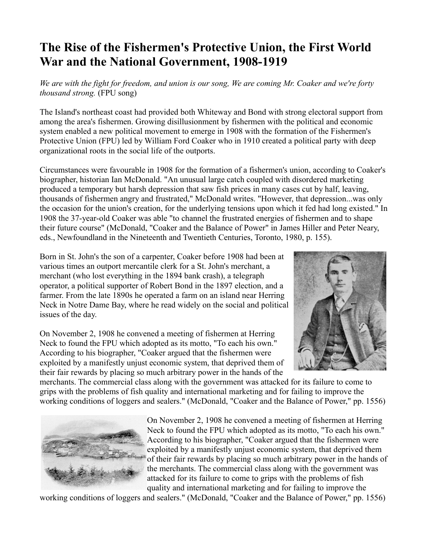## **The Rise of the Fishermen's Protective Union, the First World War and the National Government, 1908-1919**

*We are with the fight for freedom, and union is our song, We are coming Mr. Coaker and we're forty thousand strong.* (FPU song)

The Island's northeast coast had provided both Whiteway and Bond with strong electoral support from among the area's fishermen. Growing disillusionment by fishermen with the political and economic system enabled a new political movement to emerge in 1908 with the formation of the Fishermen's Protective Union (FPU) led by William Ford Coaker who in 1910 created a political party with deep organizational roots in the social life of the outports.

Circumstances were favourable in 1908 for the formation of a fishermen's union, according to Coaker's biographer, historian Ian McDonald. "An unusual large catch coupled with disordered marketing produced a temporary but harsh depression that saw fish prices in many cases cut by half, leaving, thousands of fishermen angry and frustrated," McDonald writes. "However, that depression...was only the occasion for the union's creation, for the underlying tensions upon which it fed had long existed." In 1908 the 37-year-old Coaker was able "to channel the frustrated energies of fishermen and to shape their future course" (McDonald, "Coaker and the Balance of Power" in James Hiller and Peter Neary, eds., Newfoundland in the Nineteenth and Twentieth Centuries, Toronto, 1980, p. 155).

Born in St. John's the son of a carpenter, Coaker before 1908 had been at various times an outport mercantile clerk for a St. John's merchant, a merchant (who lost everything in the 1894 bank crash), a telegraph operator, a political supporter of Robert Bond in the 1897 election, and a farmer. From the late 1890s he operated a farm on an island near Herring Neck in Notre Dame Bay, where he read widely on the social and political issues of the day.

On November 2, 1908 he convened a meeting of fishermen at Herring Neck to found the FPU which adopted as its motto, "To each his own." According to his biographer, "Coaker argued that the fishermen were exploited by a manifestly unjust economic system, that deprived them of their fair rewards by placing so much arbitrary power in the hands of the



merchants. The commercial class along with the government was attacked for its failure to come to grips with the problems of fish quality and international marketing and for failing to improve the working conditions of loggers and sealers." (McDonald, "Coaker and the Balance of Power," pp. 1556)



On November 2, 1908 he convened a meeting of fishermen at Herring Neck to found the FPU which adopted as its motto, "To each his own." According to his biographer, "Coaker argued that the fishermen were exploited by a manifestly unjust economic system, that deprived them of their fair rewards by placing so much arbitrary power in the hands of the merchants. The commercial class along with the government was attacked for its failure to come to grips with the problems of fish quality and international marketing and for failing to improve the

working conditions of loggers and sealers." (McDonald, "Coaker and the Balance of Power," pp. 1556)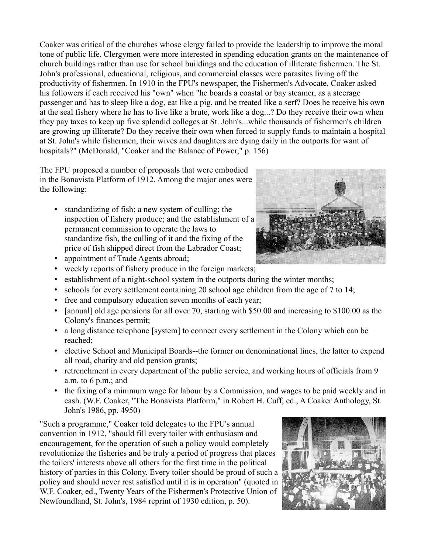Coaker was critical of the churches whose clergy failed to provide the leadership to improve the moral tone of public life. Clergymen were more interested in spending education grants on the maintenance of church buildings rather than use for school buildings and the education of illiterate fishermen. The St. John's professional, educational, religious, and commercial classes were parasites living off the productivity of fishermen. In 1910 in the FPU's newspaper, the Fishermen's Advocate, Coaker asked his followers if each received his "own" when "he boards a coastal or bay steamer, as a steerage passenger and has to sleep like a dog, eat like a pig, and be treated like a serf? Does he receive his own at the seal fishery where he has to live like a brute, work like a dog...? Do they receive their own when they pay taxes to keep up five splendid colleges at St. John's...while thousands of fishermen's children are growing up illiterate? Do they receive their own when forced to supply funds to maintain a hospital at St. John's while fishermen, their wives and daughters are dying daily in the outports for want of hospitals?" (McDonald, "Coaker and the Balance of Power," p. 156)

The FPU proposed a number of proposals that were embodied in the Bonavista Platform of 1912. Among the major ones were the following:

- standardizing of fish; a new system of culling; the inspection of fishery produce; and the establishment of a permanent commission to operate the laws to standardize fish, the culling of it and the fixing of the price of fish shipped direct from the Labrador Coast;
- appointment of Trade Agents abroad;
- weekly reports of fishery produce in the foreign markets;
- establishment of a night-school system in the outports during the winter months;
- schools for every settlement containing 20 school age children from the age of 7 to 14;
- free and compulsory education seven months of each year;
- [annual] old age pensions for all over 70, starting with \$50.00 and increasing to \$100.00 as the Colony's finances permit;
- a long distance telephone [system] to connect every settlement in the Colony which can be reached;
- elective School and Municipal Boards--the former on denominational lines, the latter to expend all road, charity and old pension grants;
- retrenchment in every department of the public service, and working hours of officials from 9 a.m. to 6 p.m.; and
- the fixing of a minimum wage for labour by a Commission, and wages to be paid weekly and in cash. (W.F. Coaker, "The Bonavista Platform," in Robert H. Cuff, ed., A Coaker Anthology, St. John's 1986, pp. 4950)

"Such a programme," Coaker told delegates to the FPU's annual convention in 1912, "should fill every toiler with enthusiasm and encouragement, for the operation of such a policy would completely revolutionize the fisheries and be truly a period of progress that places the toilers' interests above all others for the first time in the political history of parties in this Colony. Every toiler should be proud of such a policy and should never rest satisfied until it is in operation" (quoted in W.F. Coaker, ed., Twenty Years of the Fishermen's Protective Union of Newfoundland, St. John's, 1984 reprint of 1930 edition, p. 50).



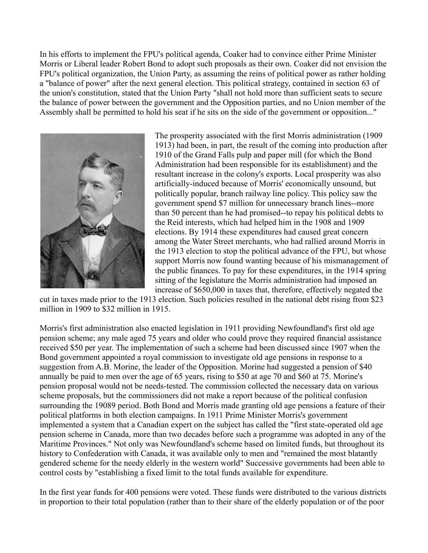In his efforts to implement the FPU's political agenda, Coaker had to convince either Prime Minister Morris or Liberal leader Robert Bond to adopt such proposals as their own. Coaker did not envision the FPU's political organization, the Union Party, as assuming the reins of political power as rather holding a "balance of power" after the next general election. This political strategy, contained in section 63 of the union's constitution, stated that the Union Party "shall not hold more than sufficient seats to secure the balance of power between the government and the Opposition parties, and no Union member of the Assembly shall be permitted to hold his seat if he sits on the side of the government or opposition..."



The prosperity associated with the first Morris administration (1909 1913) had been, in part, the result of the coming into production after 1910 of the Grand Falls pulp and paper mill (for which the Bond Administration had been responsible for its establishment) and the resultant increase in the colony's exports. Local prosperity was also artificially-induced because of Morris' economically unsound, but politically popular, branch railway line policy. This policy saw the government spend \$7 million for unnecessary branch lines--more than 50 percent than he had promised--to repay his political debts to the Reid interests, which had helped him in the 1908 and 1909 elections. By 1914 these expenditures had caused great concern among the Water Street merchants, who had rallied around Morris in the 1913 election to stop the political advance of the FPU, but whose support Morris now found wanting because of his mismanagement of the public finances. To pay for these expenditures, in the 1914 spring sitting of the legislature the Morris administration had imposed an increase of \$650,000 in taxes that, therefore, effectively negated the

cut in taxes made prior to the 1913 election. Such policies resulted in the national debt rising from \$23 million in 1909 to \$32 million in 1915.

Morris's first administration also enacted legislation in 1911 providing Newfoundland's first old age pension scheme; any male aged 75 years and older who could prove they required financial assistance received \$50 per year. The implementation of such a scheme had been discussed since 1907 when the Bond government appointed a royal commission to investigate old age pensions in response to a suggestion from A.B. Morine, the leader of the Opposition. Morine had suggested a pension of \$40 annually be paid to men over the age of 65 years, rising to \$50 at age 70 and \$60 at 75. Morine's pension proposal would not be needs-tested. The commission collected the necessary data on various scheme proposals, but the commissioners did not make a report because of the political confusion surrounding the 19089 period. Both Bond and Morris made granting old age pensions a feature of their political platforms in both election campaigns. In 1911 Prime Minister Morris's government implemented a system that a Canadian expert on the subject has called the "first state-operated old age pension scheme in Canada, more than two decades before such a programme was adopted in any of the Maritime Provinces." Not only was Newfoundland's scheme based on limited funds, but throughout its history to Confederation with Canada, it was available only to men and "remained the most blatantly gendered scheme for the needy elderly in the western world" Successive governments had been able to control costs by "establishing a fixed limit to the total funds available for expenditure.

In the first year funds for 400 pensions were voted. These funds were distributed to the various districts in proportion to their total population (rather than to their share of the elderly population or of the poor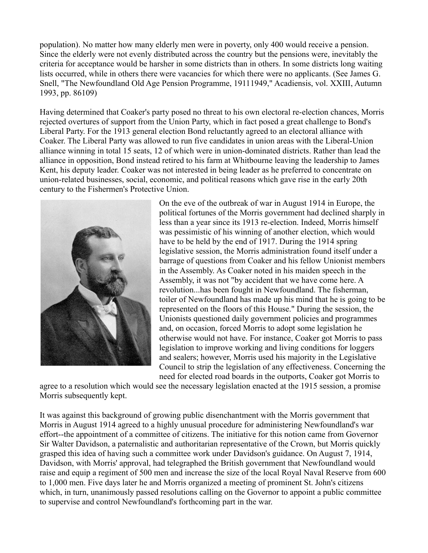population). No matter how many elderly men were in poverty, only 400 would receive a pension. Since the elderly were not evenly distributed across the country but the pensions were, inevitably the criteria for acceptance would be harsher in some districts than in others. In some districts long waiting lists occurred, while in others there were vacancies for which there were no applicants. (See James G. Snell, "The Newfoundland Old Age Pension Programme, 19111949," Acadiensis, vol. XXIII, Autumn 1993, pp. 86109)

Having determined that Coaker's party posed no threat to his own electoral re-election chances, Morris rejected overtures of support from the Union Party, which in fact posed a great challenge to Bond's Liberal Party. For the 1913 general election Bond reluctantly agreed to an electoral alliance with Coaker. The Liberal Party was allowed to run five candidates in union areas with the Liberal-Union alliance winning in total 15 seats, 12 of which were in union-dominated districts. Rather than lead the alliance in opposition, Bond instead retired to his farm at Whitbourne leaving the leadership to James Kent, his deputy leader. Coaker was not interested in being leader as he preferred to concentrate on union-related businesses, social, economic, and political reasons which gave rise in the early 20th century to the Fishermen's Protective Union.



On the eve of the outbreak of war in August 1914 in Europe, the political fortunes of the Morris government had declined sharply in less than a year since its 1913 re-election. Indeed, Morris himself was pessimistic of his winning of another election, which would have to be held by the end of 1917. During the 1914 spring legislative session, the Morris administration found itself under a barrage of questions from Coaker and his fellow Unionist members in the Assembly. As Coaker noted in his maiden speech in the Assembly, it was not "by accident that we have come here. A revolution...has been fought in Newfoundland. The fisherman, toiler of Newfoundland has made up his mind that he is going to be represented on the floors of this House." During the session, the Unionists questioned daily government policies and programmes and, on occasion, forced Morris to adopt some legislation he otherwise would not have. For instance, Coaker got Morris to pass legislation to improve working and living conditions for loggers and sealers; however, Morris used his majority in the Legislative Council to strip the legislation of any effectiveness. Concerning the need for elected road boards in the outports, Coaker got Morris to

agree to a resolution which would see the necessary legislation enacted at the 1915 session, a promise Morris subsequently kept.

It was against this background of growing public disenchantment with the Morris government that Morris in August 1914 agreed to a highly unusual procedure for administering Newfoundland's war effort--the appointment of a committee of citizens. The initiative for this notion came from Governor Sir Walter Davidson, a paternalistic and authoritarian representative of the Crown, but Morris quickly grasped this idea of having such a committee work under Davidson's guidance. On August 7, 1914, Davidson, with Morris' approval, had telegraphed the British government that Newfoundland would raise and equip a regiment of 500 men and increase the size of the local Royal Naval Reserve from 600 to 1,000 men. Five days later he and Morris organized a meeting of prominent St. John's citizens which, in turn, unanimously passed resolutions calling on the Governor to appoint a public committee to supervise and control Newfoundland's forthcoming part in the war.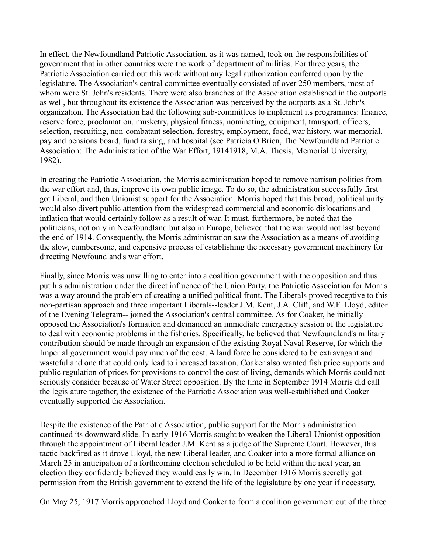In effect, the Newfoundland Patriotic Association, as it was named, took on the responsibilities of government that in other countries were the work of department of militias. For three years, the Patriotic Association carried out this work without any legal authorization conferred upon by the legislature. The Association's central committee eventually consisted of over 250 members, most of whom were St. John's residents. There were also branches of the Association established in the outports as well, but throughout its existence the Association was perceived by the outports as a St. John's organization. The Association had the following sub-committees to implement its programmes: finance, reserve force, proclamation, musketry, physical fitness, nominating, equipment, transport, officers, selection, recruiting, non-combatant selection, forestry, employment, food, war history, war memorial, pay and pensions board, fund raising, and hospital (see Patricia O'Brien, The Newfoundland Patriotic Association: The Administration of the War Effort, 19141918, M.A. Thesis, Memorial University, 1982).

In creating the Patriotic Association, the Morris administration hoped to remove partisan politics from the war effort and, thus, improve its own public image. To do so, the administration successfully first got Liberal, and then Unionist support for the Association. Morris hoped that this broad, political unity would also divert public attention from the widespread commercial and economic dislocations and inflation that would certainly follow as a result of war. It must, furthermore, be noted that the politicians, not only in Newfoundland but also in Europe, believed that the war would not last beyond the end of 1914. Consequently, the Morris administration saw the Association as a means of avoiding the slow, cumbersome, and expensive process of establishing the necessary government machinery for directing Newfoundland's war effort.

Finally, since Morris was unwilling to enter into a coalition government with the opposition and thus put his administration under the direct influence of the Union Party, the Patriotic Association for Morris was a way around the problem of creating a unified political front. The Liberals proved receptive to this non-partisan approach and three important Liberals--leader J.M. Kent, J.A. Clift, and W.F. Lloyd, editor of the Evening Telegram-- joined the Association's central committee. As for Coaker, he initially opposed the Association's formation and demanded an immediate emergency session of the legislature to deal with economic problems in the fisheries. Specifically, he believed that Newfoundland's military contribution should be made through an expansion of the existing Royal Naval Reserve, for which the Imperial government would pay much of the cost. A land force he considered to be extravagant and wasteful and one that could only lead to increased taxation. Coaker also wanted fish price supports and public regulation of prices for provisions to control the cost of living, demands which Morris could not seriously consider because of Water Street opposition. By the time in September 1914 Morris did call the legislature together, the existence of the Patriotic Association was well-established and Coaker eventually supported the Association.

Despite the existence of the Patriotic Association, public support for the Morris administration continued its downward slide. In early 1916 Morris sought to weaken the Liberal-Unionist opposition through the appointment of Liberal leader J.M. Kent as a judge of the Supreme Court. However, this tactic backfired as it drove Lloyd, the new Liberal leader, and Coaker into a more formal alliance on March 25 in anticipation of a forthcoming election scheduled to be held within the next year, an election they confidently believed they would easily win. In December 1916 Morris secretly got permission from the British government to extend the life of the legislature by one year if necessary.

On May 25, 1917 Morris approached Lloyd and Coaker to form a coalition government out of the three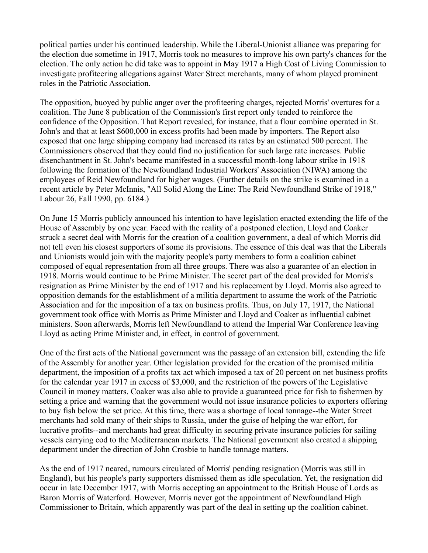political parties under his continued leadership. While the Liberal-Unionist alliance was preparing for the election due sometime in 1917, Morris took no measures to improve his own party's chances for the election. The only action he did take was to appoint in May 1917 a High Cost of Living Commission to investigate profiteering allegations against Water Street merchants, many of whom played prominent roles in the Patriotic Association.

The opposition, buoyed by public anger over the profiteering charges, rejected Morris' overtures for a coalition. The June 8 publication of the Commission's first report only tended to reinforce the confidence of the Opposition. That Report revealed, for instance, that a flour combine operated in St. John's and that at least \$600,000 in excess profits had been made by importers. The Report also exposed that one large shipping company had increased its rates by an estimated 500 percent. The Commissioners observed that they could find no justification for such large rate increases. Public disenchantment in St. John's became manifested in a successful month-long labour strike in 1918 following the formation of the Newfoundland Industrial Workers' Association (NIWA) among the employees of Reid Newfoundland for higher wages. (Further details on the strike is examined in a recent article by Peter McInnis, "All Solid Along the Line: The Reid Newfoundland Strike of 1918," Labour 26, Fall 1990, pp. 6184.)

On June 15 Morris publicly announced his intention to have legislation enacted extending the life of the House of Assembly by one year. Faced with the reality of a postponed election, Lloyd and Coaker struck a secret deal with Morris for the creation of a coalition government, a deal of which Morris did not tell even his closest supporters of some its provisions. The essence of this deal was that the Liberals and Unionists would join with the majority people's party members to form a coalition cabinet composed of equal representation from all three groups. There was also a guarantee of an election in 1918. Morris would continue to be Prime Minister. The secret part of the deal provided for Morris's resignation as Prime Minister by the end of 1917 and his replacement by Lloyd. Morris also agreed to opposition demands for the establishment of a militia department to assume the work of the Patriotic Association and for the imposition of a tax on business profits. Thus, on July 17, 1917, the National government took office with Morris as Prime Minister and Lloyd and Coaker as influential cabinet ministers. Soon afterwards, Morris left Newfoundland to attend the Imperial War Conference leaving Lloyd as acting Prime Minister and, in effect, in control of government.

One of the first acts of the National government was the passage of an extension bill, extending the life of the Assembly for another year. Other legislation provided for the creation of the promised militia department, the imposition of a profits tax act which imposed a tax of 20 percent on net business profits for the calendar year 1917 in excess of \$3,000, and the restriction of the powers of the Legislative Council in money matters. Coaker was also able to provide a guaranteed price for fish to fishermen by setting a price and warning that the government would not issue insurance policies to exporters offering to buy fish below the set price. At this time, there was a shortage of local tonnage--the Water Street merchants had sold many of their ships to Russia, under the guise of helping the war effort, for lucrative profits--and merchants had great difficulty in securing private insurance policies for sailing vessels carrying cod to the Mediterranean markets. The National government also created a shipping department under the direction of John Crosbie to handle tonnage matters.

As the end of 1917 neared, rumours circulated of Morris' pending resignation (Morris was still in England), but his people's party supporters dismissed them as idle speculation. Yet, the resignation did occur in late December 1917, with Morris accepting an appointment to the British House of Lords as Baron Morris of Waterford. However, Morris never got the appointment of Newfoundland High Commissioner to Britain, which apparently was part of the deal in setting up the coalition cabinet.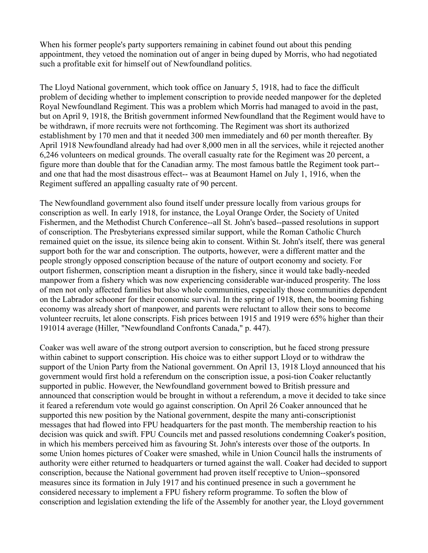When his former people's party supporters remaining in cabinet found out about this pending appointment, they vetoed the nomination out of anger in being duped by Morris, who had negotiated such a profitable exit for himself out of Newfoundland politics.

The Lloyd National government, which took office on January 5, 1918, had to face the difficult problem of deciding whether to implement conscription to provide needed manpower for the depleted Royal Newfoundland Regiment. This was a problem which Morris had managed to avoid in the past, but on April 9, 1918, the British government informed Newfoundland that the Regiment would have to be withdrawn, if more recruits were not forthcoming. The Regiment was short its authorized establishment by 170 men and that it needed 300 men immediately and 60 per month thereafter. By April 1918 Newfoundland already had had over 8,000 men in all the services, while it rejected another 6,246 volunteers on medical grounds. The overall casualty rate for the Regiment was 20 percent, a figure more than double that for the Canadian army. The most famous battle the Regiment took part- and one that had the most disastrous effect-- was at Beaumont Hamel on July 1, 1916, when the Regiment suffered an appalling casualty rate of 90 percent.

The Newfoundland government also found itself under pressure locally from various groups for conscription as well. In early 1918, for instance, the Loyal Orange Order, the Society of United Fishermen, and the Methodist Church Conference--all St. John's based--passed resolutions in support of conscription. The Presbyterians expressed similar support, while the Roman Catholic Church remained quiet on the issue, its silence being akin to consent. Within St. John's itself, there was general support both for the war and conscription. The outports, however, were a different matter and the people strongly opposed conscription because of the nature of outport economy and society. For outport fishermen, conscription meant a disruption in the fishery, since it would take badly-needed manpower from a fishery which was now experiencing considerable war-induced prosperity. The loss of men not only affected families but also whole communities, especially those communities dependent on the Labrador schooner for their economic survival. In the spring of 1918, then, the booming fishing economy was already short of manpower, and parents were reluctant to allow their sons to become volunteer recruits, let alone conscripts. Fish prices between 1915 and 1919 were 65% higher than their 191014 average (Hiller, "Newfoundland Confronts Canada," p. 447).

Coaker was well aware of the strong outport aversion to conscription, but he faced strong pressure within cabinet to support conscription. His choice was to either support Lloyd or to withdraw the support of the Union Party from the National government. On April 13, 1918 Lloyd announced that his government would first hold a referendum on the conscription issue, a posi-tion Coaker reluctantly supported in public. However, the Newfoundland government bowed to British pressure and announced that conscription would be brought in without a referendum, a move it decided to take since it feared a referendum vote would go against conscription. On April 26 Coaker announced that he supported this new position by the National government, despite the many anti-conscriptionist messages that had flowed into FPU headquarters for the past month. The membership reaction to his decision was quick and swift. FPU Councils met and passed resolutions condemning Coaker's position, in which his members perceived him as favouring St. John's interests over those of the outports. In some Union homes pictures of Coaker were smashed, while in Union Council halls the instruments of authority were either returned to headquarters or turned against the wall. Coaker had decided to support conscription, because the National government had proven itself receptive to Union--sponsored measures since its formation in July 1917 and his continued presence in such a government he considered necessary to implement a FPU fishery reform programme. To soften the blow of conscription and legislation extending the life of the Assembly for another year, the Lloyd government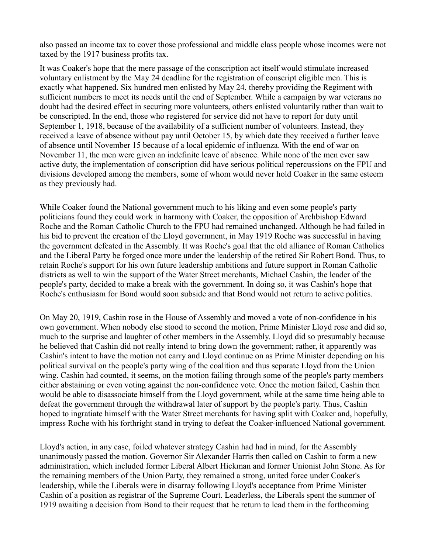also passed an income tax to cover those professional and middle class people whose incomes were not taxed by the 1917 business profits tax.

It was Coaker's hope that the mere passage of the conscription act itself would stimulate increased voluntary enlistment by the May 24 deadline for the registration of conscript eligible men. This is exactly what happened. Six hundred men enlisted by May 24, thereby providing the Regiment with sufficient numbers to meet its needs until the end of September. While a campaign by war veterans no doubt had the desired effect in securing more volunteers, others enlisted voluntarily rather than wait to be conscripted. In the end, those who registered for service did not have to report for duty until September 1, 1918, because of the availability of a sufficient number of volunteers. Instead, they received a leave of absence without pay until October 15, by which date they received a further leave of absence until November 15 because of a local epidemic of influenza. With the end of war on November 11, the men were given an indefinite leave of absence. While none of the men ever saw active duty, the implementation of conscription did have serious political repercussions on the FPU and divisions developed among the members, some of whom would never hold Coaker in the same esteem as they previously had.

While Coaker found the National government much to his liking and even some people's party politicians found they could work in harmony with Coaker, the opposition of Archbishop Edward Roche and the Roman Catholic Church to the FPU had remained unchanged. Although he had failed in his bid to prevent the creation of the Lloyd government, in May 1919 Roche was successful in having the government defeated in the Assembly. It was Roche's goal that the old alliance of Roman Catholics and the Liberal Party be forged once more under the leadership of the retired Sir Robert Bond. Thus, to retain Roche's support for his own future leadership ambitions and future support in Roman Catholic districts as well to win the support of the Water Street merchants, Michael Cashin, the leader of the people's party, decided to make a break with the government. In doing so, it was Cashin's hope that Roche's enthusiasm for Bond would soon subside and that Bond would not return to active politics.

On May 20, 1919, Cashin rose in the House of Assembly and moved a vote of non-confidence in his own government. When nobody else stood to second the motion, Prime Minister Lloyd rose and did so, much to the surprise and laughter of other members in the Assembly. Lloyd did so presumably because he believed that Cashin did not really intend to bring down the government; rather, it apparently was Cashin's intent to have the motion not carry and Lloyd continue on as Prime Minister depending on his political survival on the people's party wing of the coalition and thus separate Lloyd from the Union wing. Cashin had counted, it seems, on the motion failing through some of the people's party members either abstaining or even voting against the non-confidence vote. Once the motion failed, Cashin then would be able to disassociate himself from the Lloyd government, while at the same time being able to defeat the government through the withdrawal later of support by the people's party. Thus, Cashin hoped to ingratiate himself with the Water Street merchants for having split with Coaker and, hopefully, impress Roche with his forthright stand in trying to defeat the Coaker-influenced National government.

Lloyd's action, in any case, foiled whatever strategy Cashin had had in mind, for the Assembly unanimously passed the motion. Governor Sir Alexander Harris then called on Cashin to form a new administration, which included former Liberal Albert Hickman and former Unionist John Stone. As for the remaining members of the Union Party, they remained a strong, united force under Coaker's leadership, while the Liberals were in disarray following Lloyd's acceptance from Prime Minister Cashin of a position as registrar of the Supreme Court. Leaderless, the Liberals spent the summer of 1919 awaiting a decision from Bond to their request that he return to lead them in the forthcoming